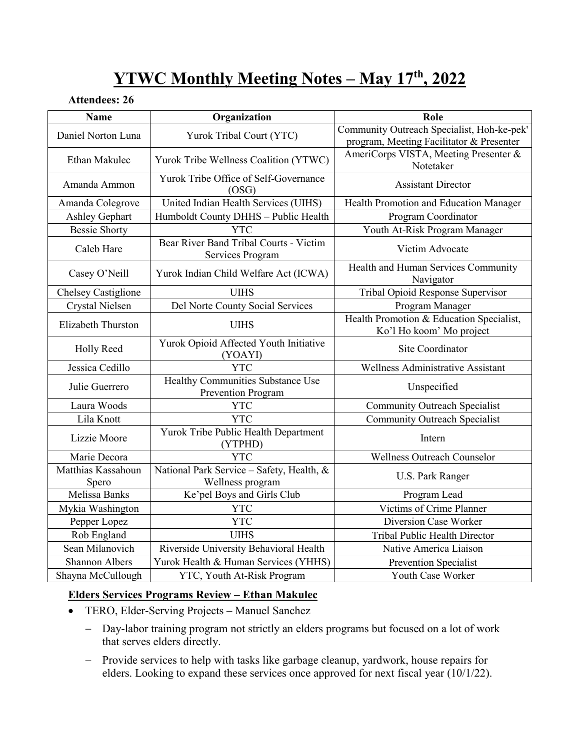# **YTWC Monthly Meeting Notes – May 17th, 2022**

#### **Attendees: 26**

| <b>Name</b>                 | Organization                                                   | Role                                                                                   |
|-----------------------------|----------------------------------------------------------------|----------------------------------------------------------------------------------------|
| Daniel Norton Luna          | Yurok Tribal Court (YTC)                                       | Community Outreach Specialist, Hoh-ke-pek'<br>program, Meeting Facilitator & Presenter |
| Ethan Makulec               | Yurok Tribe Wellness Coalition (YTWC)                          | AmeriCorps VISTA, Meeting Presenter &<br>Notetaker                                     |
| Amanda Ammon                | Yurok Tribe Office of Self-Governance<br>(OSG)                 | <b>Assistant Director</b>                                                              |
| Amanda Colegrove            | United Indian Health Services (UIHS)                           | Health Promotion and Education Manager                                                 |
| Ashley Gephart              | Humboldt County DHHS - Public Health                           | Program Coordinator                                                                    |
| <b>Bessie Shorty</b>        | <b>YTC</b>                                                     | Youth At-Risk Program Manager                                                          |
| Caleb Hare                  | Bear River Band Tribal Courts - Victim<br>Services Program     | Victim Advocate                                                                        |
| Casey O'Neill               | Yurok Indian Child Welfare Act (ICWA)                          | Health and Human Services Community<br>Navigator                                       |
| Chelsey Castiglione         | <b>UIHS</b>                                                    | Tribal Opioid Response Supervisor                                                      |
| Crystal Nielsen             | Del Norte County Social Services                               | Program Manager                                                                        |
| Elizabeth Thurston          | <b>UIHS</b>                                                    | Health Promotion & Education Specialist,<br>Ko'l Ho koom' Mo project                   |
| <b>Holly Reed</b>           | Yurok Opioid Affected Youth Initiative<br>(YOAYI)              | Site Coordinator                                                                       |
| Jessica Cedillo             | <b>YTC</b>                                                     | Wellness Administrative Assistant                                                      |
| Julie Guerrero              | <b>Healthy Communities Substance Use</b><br>Prevention Program | Unspecified                                                                            |
| Laura Woods                 | <b>YTC</b>                                                     | <b>Community Outreach Specialist</b>                                                   |
| Lila Knott                  | <b>YTC</b>                                                     | <b>Community Outreach Specialist</b>                                                   |
| Lizzie Moore                | Yurok Tribe Public Health Department<br>(YTPHD)                | Intern                                                                                 |
| Marie Decora                | <b>YTC</b>                                                     | Wellness Outreach Counselor                                                            |
| Matthias Kassahoun<br>Spero | National Park Service - Safety, Health, &<br>Wellness program  | U.S. Park Ranger                                                                       |
| Melissa Banks               | Ke'pel Boys and Girls Club                                     | Program Lead                                                                           |
| Mykia Washington            | <b>YTC</b>                                                     | Victims of Crime Planner                                                               |
| Pepper Lopez                | <b>YTC</b>                                                     | Diversion Case Worker                                                                  |
| Rob England                 | <b>UIHS</b>                                                    | Tribal Public Health Director                                                          |
| Sean Milanovich             | Riverside University Behavioral Health                         | Native America Liaison                                                                 |
| <b>Shannon Albers</b>       | Yurok Health & Human Services (YHHS)                           | Prevention Specialist                                                                  |
| Shayna McCullough           | YTC, Youth At-Risk Program                                     | Youth Case Worker                                                                      |

### **Elders Services Programs Review – Ethan Makulec**

- TERO, Elder-Serving Projects Manuel Sanchez
	- − Day-labor training program not strictly an elders programs but focused on a lot of work that serves elders directly.
	- − Provide services to help with tasks like garbage cleanup, yardwork, house repairs for elders. Looking to expand these services once approved for next fiscal year (10/1/22).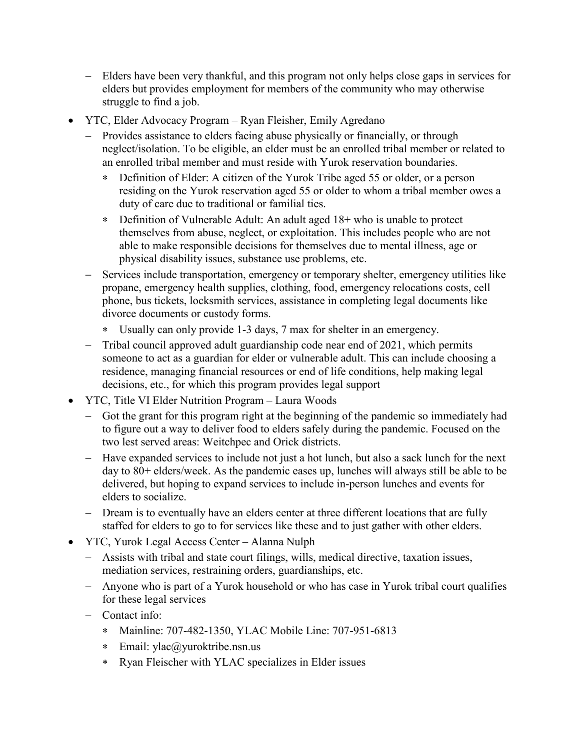- − Elders have been very thankful, and this program not only helps close gaps in services for elders but provides employment for members of the community who may otherwise struggle to find a job.
- YTC, Elder Advocacy Program Ryan Fleisher, Emily Agredano
	- − Provides assistance to elders facing abuse physically or financially, or through neglect/isolation. To be eligible, an elder must be an enrolled tribal member or related to an enrolled tribal member and must reside with Yurok reservation boundaries.
		- Definition of Elder: A citizen of the Yurok Tribe aged 55 or older, or a person residing on the Yurok reservation aged 55 or older to whom a tribal member owes a duty of care due to traditional or familial ties.
		- ∗ Definition of Vulnerable Adult: An adult aged 18+ who is unable to protect themselves from abuse, neglect, or exploitation. This includes people who are not able to make responsible decisions for themselves due to mental illness, age or physical disability issues, substance use problems, etc.
	- − Services include transportation, emergency or temporary shelter, emergency utilities like propane, emergency health supplies, clothing, food, emergency relocations costs, cell phone, bus tickets, locksmith services, assistance in completing legal documents like divorce documents or custody forms.
		- ∗ Usually can only provide 1-3 days, 7 max for shelter in an emergency.
	- − Tribal council approved adult guardianship code near end of 2021, which permits someone to act as a guardian for elder or vulnerable adult. This can include choosing a residence, managing financial resources or end of life conditions, help making legal decisions, etc., for which this program provides legal support
- YTC, Title VI Elder Nutrition Program Laura Woods
	- − Got the grant for this program right at the beginning of the pandemic so immediately had to figure out a way to deliver food to elders safely during the pandemic. Focused on the two lest served areas: Weitchpec and Orick districts.
	- − Have expanded services to include not just a hot lunch, but also a sack lunch for the next day to 80+ elders/week. As the pandemic eases up, lunches will always still be able to be delivered, but hoping to expand services to include in-person lunches and events for elders to socialize.
	- − Dream is to eventually have an elders center at three different locations that are fully staffed for elders to go to for services like these and to just gather with other elders.
- YTC, Yurok Legal Access Center Alanna Nulph
	- − Assists with tribal and state court filings, wills, medical directive, taxation issues, mediation services, restraining orders, guardianships, etc.
	- − Anyone who is part of a Yurok household or who has case in Yurok tribal court qualifies for these legal services
	- − Contact info:
		- ∗ Mainline: 707-482-1350, YLAC Mobile Line: 707-951-6813
		- ∗ Email: ylac@yuroktribe.nsn.us
		- ∗ Ryan Fleischer with YLAC specializes in Elder issues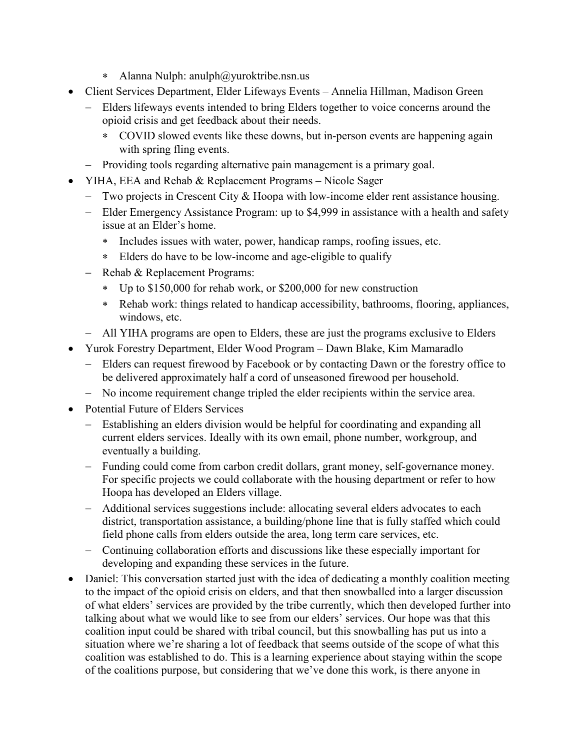- ∗ Alanna Nulph: anulph@yuroktribe.nsn.us
- Client Services Department, Elder Lifeways Events Annelia Hillman, Madison Green
	- − Elders lifeways events intended to bring Elders together to voice concerns around the opioid crisis and get feedback about their needs.
		- ∗ COVID slowed events like these downs, but in-person events are happening again with spring fling events.
	- − Providing tools regarding alternative pain management is a primary goal.
- YIHA, EEA and Rehab & Replacement Programs Nicole Sager
	- − Two projects in Crescent City & Hoopa with low-income elder rent assistance housing.
	- − Elder Emergency Assistance Program: up to \$4,999 in assistance with a health and safety issue at an Elder's home.
		- ∗ Includes issues with water, power, handicap ramps, roofing issues, etc.
		- ∗ Elders do have to be low-income and age-eligible to qualify
	- − Rehab & Replacement Programs:
		- ∗ Up to \$150,000 for rehab work, or \$200,000 for new construction
		- ∗ Rehab work: things related to handicap accessibility, bathrooms, flooring, appliances, windows, etc.
	- − All YIHA programs are open to Elders, these are just the programs exclusive to Elders
- Yurok Forestry Department, Elder Wood Program Dawn Blake, Kim Mamaradlo
	- − Elders can request firewood by Facebook or by contacting Dawn or the forestry office to be delivered approximately half a cord of unseasoned firewood per household.
	- − No income requirement change tripled the elder recipients within the service area.
- Potential Future of Elders Services
	- − Establishing an elders division would be helpful for coordinating and expanding all current elders services. Ideally with its own email, phone number, workgroup, and eventually a building.
	- − Funding could come from carbon credit dollars, grant money, self-governance money. For specific projects we could collaborate with the housing department or refer to how Hoopa has developed an Elders village.
	- − Additional services suggestions include: allocating several elders advocates to each district, transportation assistance, a building/phone line that is fully staffed which could field phone calls from elders outside the area, long term care services, etc.
	- − Continuing collaboration efforts and discussions like these especially important for developing and expanding these services in the future.
- Daniel: This conversation started just with the idea of dedicating a monthly coalition meeting to the impact of the opioid crisis on elders, and that then snowballed into a larger discussion of what elders' services are provided by the tribe currently, which then developed further into talking about what we would like to see from our elders' services. Our hope was that this coalition input could be shared with tribal council, but this snowballing has put us into a situation where we're sharing a lot of feedback that seems outside of the scope of what this coalition was established to do. This is a learning experience about staying within the scope of the coalitions purpose, but considering that we've done this work, is there anyone in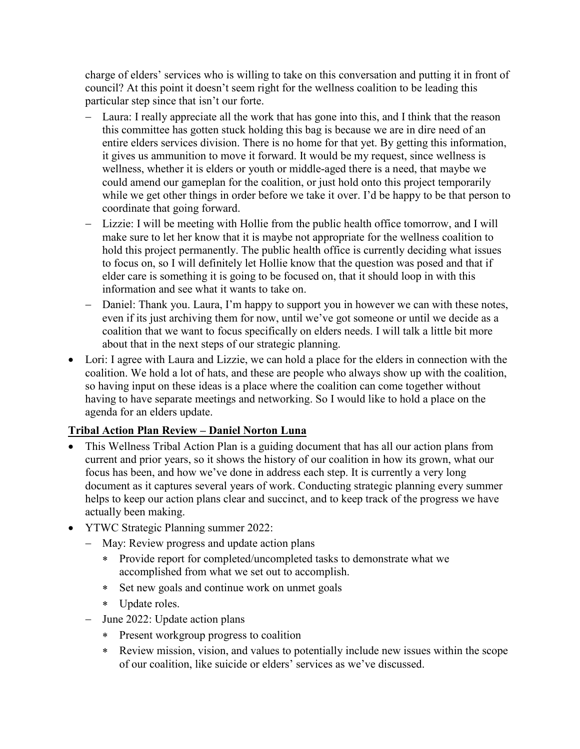charge of elders' services who is willing to take on this conversation and putting it in front of council? At this point it doesn't seem right for the wellness coalition to be leading this particular step since that isn't our forte.

- − Laura: I really appreciate all the work that has gone into this, and I think that the reason this committee has gotten stuck holding this bag is because we are in dire need of an entire elders services division. There is no home for that yet. By getting this information, it gives us ammunition to move it forward. It would be my request, since wellness is wellness, whether it is elders or youth or middle-aged there is a need, that maybe we could amend our gameplan for the coalition, or just hold onto this project temporarily while we get other things in order before we take it over. I'd be happy to be that person to coordinate that going forward.
- − Lizzie: I will be meeting with Hollie from the public health office tomorrow, and I will make sure to let her know that it is maybe not appropriate for the wellness coalition to hold this project permanently. The public health office is currently deciding what issues to focus on, so I will definitely let Hollie know that the question was posed and that if elder care is something it is going to be focused on, that it should loop in with this information and see what it wants to take on.
- − Daniel: Thank you. Laura, I'm happy to support you in however we can with these notes, even if its just archiving them for now, until we've got someone or until we decide as a coalition that we want to focus specifically on elders needs. I will talk a little bit more about that in the next steps of our strategic planning.
- Lori: I agree with Laura and Lizzie, we can hold a place for the elders in connection with the coalition. We hold a lot of hats, and these are people who always show up with the coalition, so having input on these ideas is a place where the coalition can come together without having to have separate meetings and networking. So I would like to hold a place on the agenda for an elders update.

# **Tribal Action Plan Review – Daniel Norton Luna**

- This Wellness Tribal Action Plan is a guiding document that has all our action plans from current and prior years, so it shows the history of our coalition in how its grown, what our focus has been, and how we've done in address each step. It is currently a very long document as it captures several years of work. Conducting strategic planning every summer helps to keep our action plans clear and succinct, and to keep track of the progress we have actually been making.
- YTWC Strategic Planning summer 2022:
	- − May: Review progress and update action plans
		- ∗ Provide report for completed/uncompleted tasks to demonstrate what we accomplished from what we set out to accomplish.
		- ∗ Set new goals and continue work on unmet goals
		- ∗ Update roles.
	- − June 2022: Update action plans
		- ∗ Present workgroup progress to coalition
		- ∗ Review mission, vision, and values to potentially include new issues within the scope of our coalition, like suicide or elders' services as we've discussed.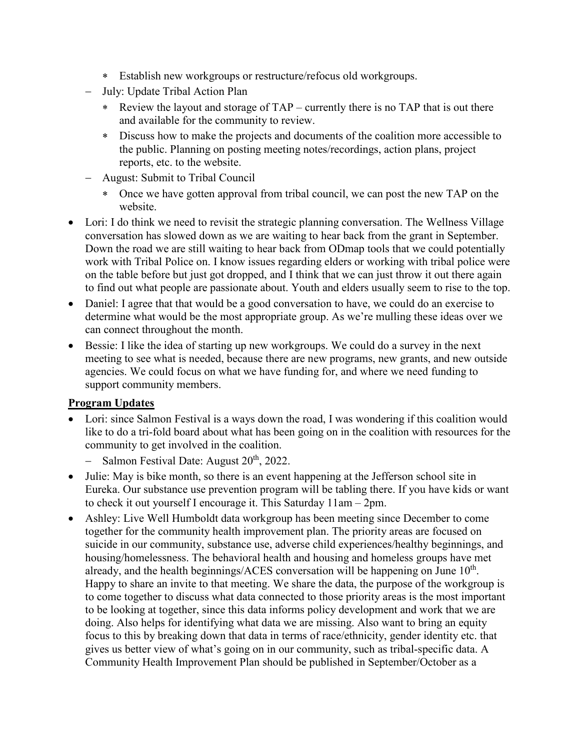- ∗ Establish new workgroups or restructure/refocus old workgroups.
- − July: Update Tribal Action Plan
	- ∗ Review the layout and storage of TAP currently there is no TAP that is out there and available for the community to review.
	- ∗ Discuss how to make the projects and documents of the coalition more accessible to the public. Planning on posting meeting notes/recordings, action plans, project reports, etc. to the website.
- − August: Submit to Tribal Council
	- ∗ Once we have gotten approval from tribal council, we can post the new TAP on the website.
- Lori: I do think we need to revisit the strategic planning conversation. The Wellness Village conversation has slowed down as we are waiting to hear back from the grant in September. Down the road we are still waiting to hear back from ODmap tools that we could potentially work with Tribal Police on. I know issues regarding elders or working with tribal police were on the table before but just got dropped, and I think that we can just throw it out there again to find out what people are passionate about. Youth and elders usually seem to rise to the top.
- Daniel: I agree that that would be a good conversation to have, we could do an exercise to determine what would be the most appropriate group. As we're mulling these ideas over we can connect throughout the month.
- Bessie: I like the idea of starting up new workgroups. We could do a survey in the next meeting to see what is needed, because there are new programs, new grants, and new outside agencies. We could focus on what we have funding for, and where we need funding to support community members.

## **Program Updates**

- Lori: since Salmon Festival is a ways down the road, I was wondering if this coalition would like to do a tri-fold board about what has been going on in the coalition with resources for the community to get involved in the coalition.
	- − Salmon Festival Date: August 20th, 2022.
- Julie: May is bike month, so there is an event happening at the Jefferson school site in Eureka. Our substance use prevention program will be tabling there. If you have kids or want to check it out yourself I encourage it. This Saturday 11am – 2pm.
- Ashley: Live Well Humboldt data workgroup has been meeting since December to come together for the community health improvement plan. The priority areas are focused on suicide in our community, substance use, adverse child experiences/healthy beginnings, and housing/homelessness. The behavioral health and housing and homeless groups have met already, and the health beginnings/ACES conversation will be happening on June  $10<sup>th</sup>$ . Happy to share an invite to that meeting. We share the data, the purpose of the workgroup is to come together to discuss what data connected to those priority areas is the most important to be looking at together, since this data informs policy development and work that we are doing. Also helps for identifying what data we are missing. Also want to bring an equity focus to this by breaking down that data in terms of race/ethnicity, gender identity etc. that gives us better view of what's going on in our community, such as tribal-specific data. A Community Health Improvement Plan should be published in September/October as a